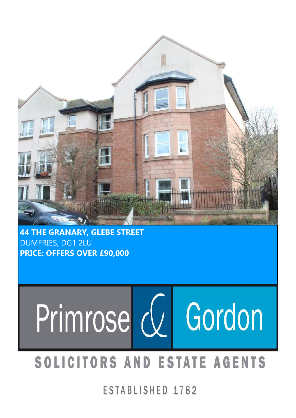

**44 THE GRANARY, GLEBE STREET** DUMFRIES, DG1 2LU **PRICE: OFFERS OVER £90,000**

555 555 5555

## Name Name Name Name I 555 555 5555 55 555 555 5555 555 555 5555 555 555 555 555 5555 5<br>5<br>5 555 555 5555 555 555 5555

# SOLICITORS AND ESTATE AGENTS

ESTABLISHED 1782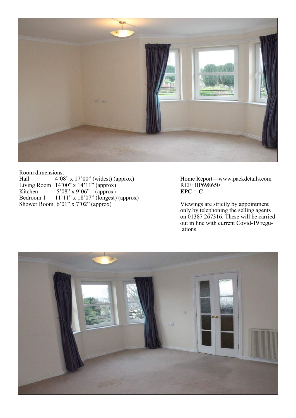

Room dimensions: Hall 4'08" x 17'00" (widest) (approx) Home Report—www.packdetails.com Living Room 14'00" x 14'11" (approx) REF: HP698650 Kitchen  $5'08'' \times 9'06''$  (approx) **EPC** = **C** Bedroom 1 11'11" x 18'07" (longest) (approx) Shower Room 6'01" x 7'02" (approx) Viewings are strictly by appointment

only by telephoning the selling agents on 01387 267316. These will be carried out in line with current Covid-19 regulations.

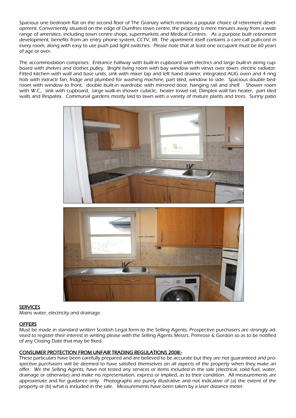Spacious one bedroom flat on the second floor of The Granary which remains a popular choice of retirement development. Conveniently situated on the edge of Dumfries town centre, the property is mere minutes away from a wide range of amenities, including town centre shops, supermarkets and Medical Centres. As a purpose built retirement development, benefits from an entry phone system, CCTV, lift. The apartment itself contains a care-call pull-cord in every room, along with easy to use push pad light switches. Please note that at least one occupant must be 60 years of age or over.

The accommodation comprises: Entrance hallway with built-in cupboard with electrics and large built-in airing cupboard with shelves and clothes pulley. Bright living room with bay window with views over town, electric radiator. Fitted kitchen with wall and base units, sink with mixer tap and left hand drainer, integrated AUG oven and 4 ring hob with extractr fan, fridge and plumbed for washing machine, part tiled, window to side. Spacious double bedroom with window to front, double built-in wardrobe with mirrored door, hanging rail and shelf. Shower room with W.C., sink with cupboard, large walk-in shower cubicle, heater towel rail, Dimplex wall fan heater, part tiled walls and Respatex. Communal gardens mostly laid to lawn with a variety of mature plants and trees. Sunny patio





### **SERVICES**

Mains water, electricity and drainage.

### **OFFERS**

Must be made in standard written Scottish Legal form to the Selling Agents. Prospective purchasers are strongly advised to register their interest in writing please with the Selling Agents Messrs. Primrose & Gordon so as to be notified of any Closing Date that may be fixed.

### CONSUMER PROTECTION FROM UNFAIR TRADING REGULATIONS 2008:-

These particulars have been carefully prepared and are believed to be accurate but they are not guaranteed and prospective purchasers will be deemed to have satisfied themselves on all aspects of the property when they make an offer. We the Selling Agents, have not tested any services or items included in the sale (electrical, solid fuel, water, drainage or otherwise) and make no representation, express or implied, as to their condition. All measurements are approximate and for guidance only. Photographs are purely illustrative and not indicative of (a) the extent of the property or (b) what is included in the sale. Measurements have been taken by a laser distance meter.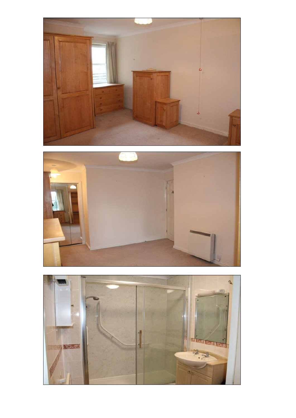



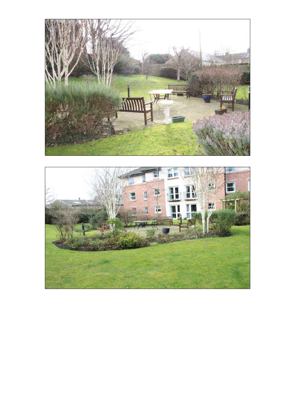